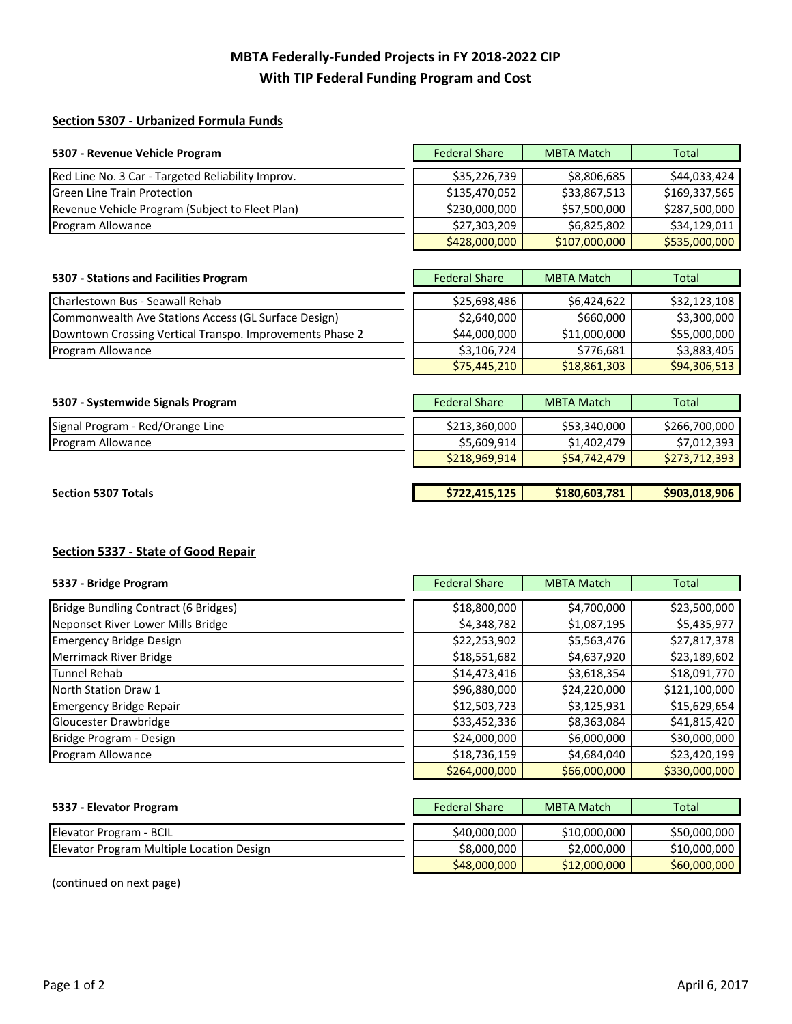# **MBTA Federally‐Funded Projects in FY 2018‐2022 CIP With TIP Federal Funding Program and Cost**

### **Section 5307 ‐ Urbanized Formula Funds**

| 5307 - Revenue Vehicle Program                    | <b>Federal Share</b> | <b>MBTA Match</b> | Total         |
|---------------------------------------------------|----------------------|-------------------|---------------|
|                                                   |                      |                   |               |
| Red Line No. 3 Car - Targeted Reliability Improv. | \$35,226,739         | \$8,806,685       | \$44,033,424  |
| <b>Green Line Train Protection</b>                | \$135,470,052        | \$33,867,513      | \$169,337,565 |
| Revenue Vehicle Program (Subject to Fleet Plan)   | \$230,000,000        | \$57,500,000      | \$287,500,000 |
| Program Allowance                                 | \$27,303,209         | \$6,825,802       | \$34,129,011  |
|                                                   | \$428,000,000        | \$107,000,000     | \$535,000,000 |

# **5307** - Stations and Facilities Program

| <b>Charlestown Bus - Seawall Rehab</b>                   | \$25,698,486 | \$6,424,622  | \$32,123,108 |
|----------------------------------------------------------|--------------|--------------|--------------|
| Commonwealth Ave Stations Access (GL Surface Design)     | \$2,640,000  | S660,000     | \$3,300,000  |
| Downtown Crossing Vertical Transpo. Improvements Phase 2 | \$44,000,000 | \$11,000,000 | \$55,000,000 |
| Program Allowance                                        | \$3,106,724  | \$776.681    | \$3,883,405  |

| <b>Federal Share</b> | <b>MBTA Match</b> | <b>Total</b> |
|----------------------|-------------------|--------------|
|                      |                   |              |
| \$25,698,486         | \$6,424,622       | \$32,123,108 |
| \$2,640,000          | \$660,000         | \$3,300,000  |
| \$44,000,000         | \$11,000,000      | \$55,000,000 |
| \$3,106,724          | \$776,681         | \$3,883,405  |
| \$75,445,210         | \$18,861,303      | \$94,306,513 |

#### **5307** - Systemwide Signals Program **Federal Share MBTA Match Total** Total

| Signal<br>Red/Orange<br>Line<br>. Program | \$213,360,000 | \$53,340,000                | 700.000<br>\$266,       |
|-------------------------------------------|---------------|-----------------------------|-------------------------|
| <b>Program Allowance</b>                  | -5,609,914    | 170<br>\$1,402,<br>$\prime$ | 202<br>101″<br>,,,,,,,, |

#### **Section 5307 Totals**

| \$722,415,125 | \$180,603,781 | \$903,018,906 |
|---------------|---------------|---------------|
|               |               |               |
| \$218,969,914 | \$54,742,479  | \$273,712,393 |
| \$5,609,914   | \$1,402,479   | \$7,012,393   |
|               |               |               |

## **Section 5337 ‐ State of Good Repair**

| 5337 - Bridge Program                | <b>Federal Share</b> | <b>MBTA Match</b> | Total         |
|--------------------------------------|----------------------|-------------------|---------------|
|                                      |                      |                   |               |
| Bridge Bundling Contract (6 Bridges) | \$18,800,000         | \$4,700,000       | \$23,500,000  |
| Neponset River Lower Mills Bridge    | \$4,348,782          | \$1,087,195       | \$5,435,977   |
| <b>Emergency Bridge Design</b>       | \$22,253,902         | \$5,563,476       | \$27,817,378  |
| Merrimack River Bridge               | \$18,551,682         | \$4,637,920       | \$23,189,602  |
| Tunnel Rehab                         | \$14,473,416         | \$3,618,354       | \$18,091,770  |
| North Station Draw 1                 | \$96,880,000         | \$24,220,000      | \$121,100,000 |
| <b>Emergency Bridge Repair</b>       | \$12,503,723         | \$3,125,931       | \$15,629,654  |
| Gloucester Drawbridge                | \$33,452,336         | \$8,363,084       | \$41,815,420  |
| Bridge Program - Design              | \$24,000,000         | \$6,000,000       | \$30,000,000  |
| Program Allowance                    | \$18,736,159         | \$4,684,040       | \$23,420,199  |
|                                      | $\lambda$            | $\lambda$         | $\lambda$     |

| <b>Federal Share</b> | <b>MBTA Match</b> | <b>Total</b>  |
|----------------------|-------------------|---------------|
|                      |                   |               |
| \$18,800,000         | \$4,700,000       | \$23,500,000  |
| \$4,348,782          | \$1,087,195       | \$5,435,977   |
| \$22,253,902         | \$5,563,476       | \$27,817,378  |
| \$18,551,682         | \$4,637,920       | \$23,189,602  |
| \$14,473,416         | \$3,618,354       | \$18,091,770  |
| \$96,880,000         | \$24,220,000      | \$121,100,000 |
| \$12,503,723         | \$3,125,931       | \$15,629,654  |
| \$33,452,336         | \$8,363,084       | \$41,815,420  |
| \$24,000,000         | \$6,000,000       | \$30,000,000  |
| \$18,736,159         | \$4,684,040       | \$23,420,199  |
| \$264,000,000        | \$66,000,000      | \$330,000,000 |

| 5337 - Elevator Program                   | <b>Federal Share</b> | MBTA Match   | Total        |
|-------------------------------------------|----------------------|--------------|--------------|
|                                           |                      |              |              |
| Elevator Program - BCIL                   | \$40,000,000         | \$10,000,000 | \$50,000,000 |
| Elevator Program Multiple Location Design | \$8,000,000          | \$2,000,000  | \$10,000,000 |
|                                           |                      |              |              |

| <b>Federal Share</b> | <b>MBTA Match</b> | Total        |
|----------------------|-------------------|--------------|
|                      |                   |              |
| \$40,000,000         | \$10,000,000      | \$50,000,000 |
| \$8,000,000          | \$2,000,000       | \$10,000,000 |
| \$48,000,000         | \$12,000,000      | \$60,000,000 |

(continued on next page)